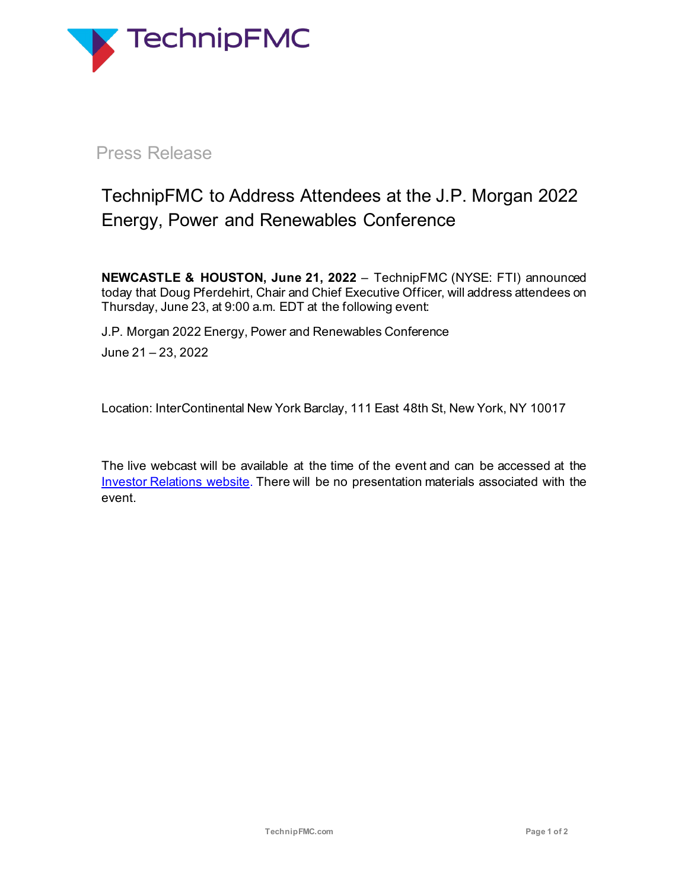

## Press Release

# TechnipFMC to Address Attendees at the J.P. Morgan 2022 Energy, Power and Renewables Conference

**NEWCASTLE & HOUSTON, June 21, 2022** – TechnipFMC (NYSE: FTI) announced today that Doug Pferdehirt, Chair and Chief Executive Officer, will address attendees on Thursday, June 23, at 9:00 a.m. EDT at the following event:

J.P. Morgan 2022 Energy, Power and Renewables Conference June 21 – 23, 2022

Location: InterContinental New York Barclay, 111 East 48th St, New York, NY 10017

The live webcast will be available at the time of the event and can be accessed at the Investor Relations website</u>. There will be no presentation materials associated with the event.